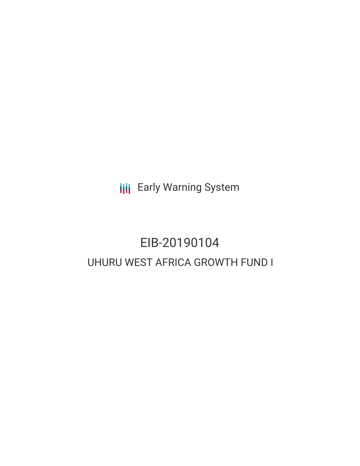**III** Early Warning System

# EIB-20190104 UHURU WEST AFRICA GROWTH FUND I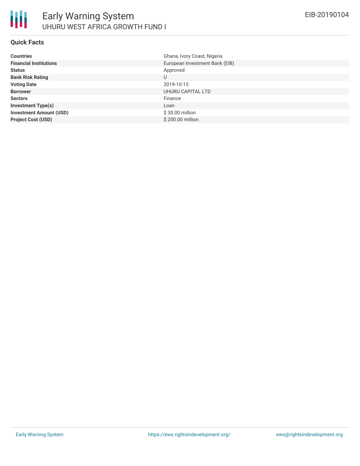

#### **Quick Facts**

| <b>Countries</b>               | Ghana, Ivory Coast, Nigeria    |
|--------------------------------|--------------------------------|
| <b>Financial Institutions</b>  | European Investment Bank (EIB) |
| <b>Status</b>                  | Approved                       |
| <b>Bank Risk Rating</b>        | U                              |
| <b>Voting Date</b>             | 2019-10-15                     |
| <b>Borrower</b>                | UHURU CAPITAL LTD              |
| <b>Sectors</b>                 | Finance                        |
| <b>Investment Type(s)</b>      | Loan                           |
| <b>Investment Amount (USD)</b> | \$30.00 million                |
| <b>Project Cost (USD)</b>      | \$200.00 million               |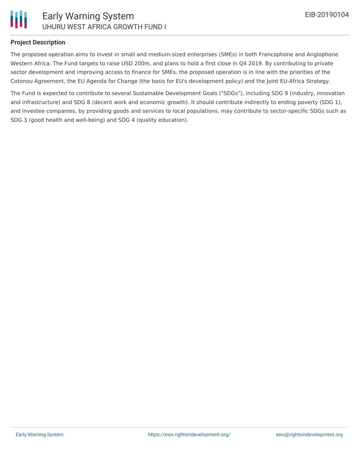

#### **Project Description**

The proposed operation aims to invest in small and medium-sized enterprises (SMEs) in both Francophone and Anglophone Western Africa. The Fund targets to raise USD 200m, and plans to hold a first close in Q4 2019. By contributing to private sector development and improving access to finance for SMEs, the proposed operation is in line with the priorities of the Cotonou Agreement, the EU Agenda for Change (the basis for EU's development policy) and the Joint EU-Africa Strategy.

The Fund is expected to contribute to several Sustainable Development Goals ("SDGs"), including SDG 9 (industry, innovation and infrastructure) and SDG 8 (decent work and economic growth). It should contribute indirectly to ending poverty (SDG 1), and investee companies, by providing goods and services to local populations, may contribute to sector-specific SDGs such as SDG 3 (good health and well-being) and SDG 4 (quality education).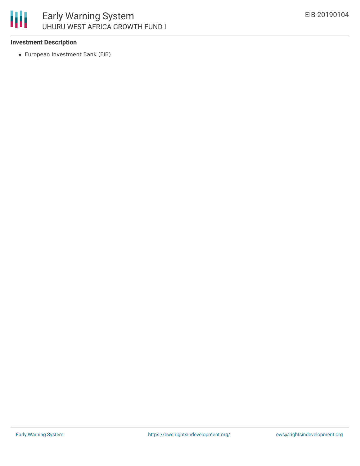

### **Investment Description**

European Investment Bank (EIB)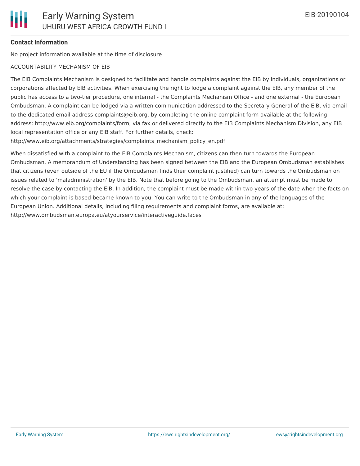## **Contact Information**

No project information available at the time of disclosure

## ACCOUNTABILITY MECHANISM OF EIB

The EIB Complaints Mechanism is designed to facilitate and handle complaints against the EIB by individuals, organizations or corporations affected by EIB activities. When exercising the right to lodge a complaint against the EIB, any member of the public has access to a two-tier procedure, one internal - the Complaints Mechanism Office - and one external - the European Ombudsman. A complaint can be lodged via a written communication addressed to the Secretary General of the EIB, via email to the dedicated email address complaints@eib.org, by completing the online complaint form available at the following address: http://www.eib.org/complaints/form, via fax or delivered directly to the EIB Complaints Mechanism Division, any EIB local representation office or any EIB staff. For further details, check:

http://www.eib.org/attachments/strategies/complaints\_mechanism\_policy\_en.pdf

When dissatisfied with a complaint to the EIB Complaints Mechanism, citizens can then turn towards the European Ombudsman. A memorandum of Understanding has been signed between the EIB and the European Ombudsman establishes that citizens (even outside of the EU if the Ombudsman finds their complaint justified) can turn towards the Ombudsman on issues related to 'maladministration' by the EIB. Note that before going to the Ombudsman, an attempt must be made to resolve the case by contacting the EIB. In addition, the complaint must be made within two years of the date when the facts on which your complaint is based became known to you. You can write to the Ombudsman in any of the languages of the European Union. Additional details, including filing requirements and complaint forms, are available at: http://www.ombudsman.europa.eu/atyourservice/interactiveguide.faces